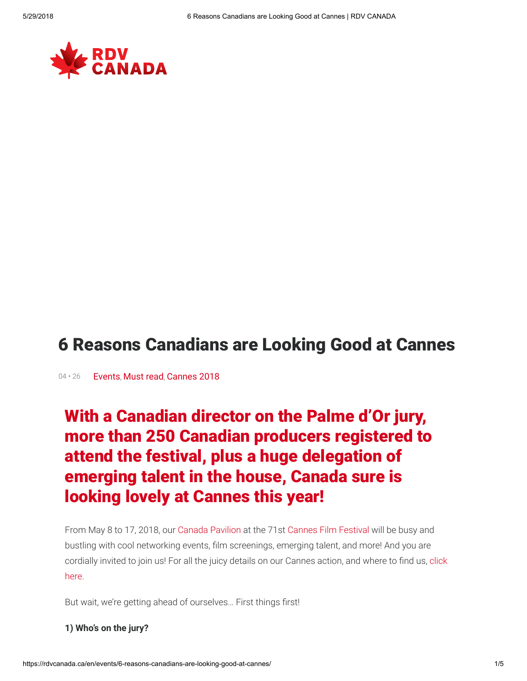

# 6 Reasons Canadians are Looking Good at Cannes

04 · 26 [Events](https://rdvcanada.ca/en/category/events/), [Must read](https://rdvcanada.ca/en/category/must-read/), [Cannes 2018](https://rdvcanada.ca/en/posts/festivals/cannes-2018/)

# With a Canadian director on the Palme d'Or jury, more than 250 Canadian producers registered to attend the festival, plus a huge delegation of emerging talent in the house, Canada sure is looking lovely at Cannes this year!

From May 8 to 17, 2018, our [Canada Pavilion](https://rdvcanada.ca/en/festivals/cannes-2018/) at the 71st [Cannes Film Festival](http://www.festival-cannes.com/en/festival/) will be busy and bustling with cool networking events, film screenings, emerging talent, and more! And you are cordially invited to join us! For all the juicy details on our Cannes action, and where to find us, click here.

But wait, we're getting ahead of ourselves... First things first!

#### 1) Who's on the jury?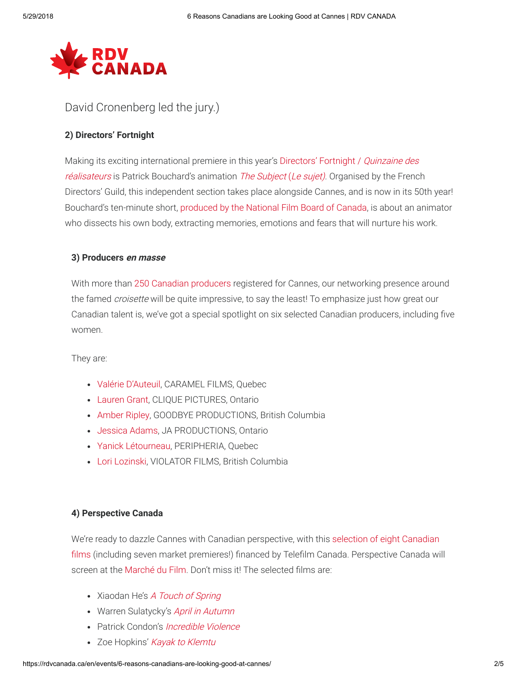

### David Cronenberg led the jury.)

#### 2) Directors' Fortnight

[Making its exciting international premiere in this year's Directors' Fortnight /](http://www.quinzaine-realisateurs.com/en/home-en/) Quinzaine des réalisateurs is Patrick Bouchard's animation [The Subject](https://rdvcanada.ca/en/product/the-subject/) (Le sujet). Organised by the French Directors' Guild, this independent section takes place alongside Cannes, and is now in its 50th year! Bouchard's ten-minute short, [produced by the National Film Board of Canada](http://blog.nfb.ca/blog/2018/03/26/patrick-bouchard-subject-film/), is about an animator who dissects his own body, extracting memories, emotions and fears that will nurture his work.

#### 3) Producers en masse

With more than [250 Canadian producers](https://rdvcanada.ca/en/festivals/cannes-2018/producers/) registered for Cannes, our networking presence around the famed *croisette* will be quite impressive, to say the least! To emphasize just how great our Canadian talent is, we've got a special spotlight on six selected Canadian producers, including five women.

They are:

- [Valérie D'Auteuil](https://rdvcanada.ca/en/working-with-canada/find-creative-partners/producers/valerie-dauteuil/), CARAMEL FILMS, Quebec
- [Lauren Grant](https://rdvcanada.ca/en/working-with-canada/find-creative-partners/producers/lauren-grant/), CLIQUE PICTURES, Ontario
- [Amber Ripley,](https://rdvcanada.ca/en/working-with-canada/find-creative-partners/producers/amber-ripley/) GOODBYE PRODUCTIONS, British Columbia
- [Jessica Adams,](https://rdvcanada.ca/en/working-with-canada/find-creative-partners/producers/jessica-adams/) JA PRODUCTIONS, Ontario
- [Yanick Létourneau](https://rdvcanada.ca/en/working-with-canada/find-creative-partners/producers/yanick-letourneau/), PERIPHERIA, Quebec
- [Lori Lozinski](https://rdvcanada.ca/fr/faire-affaire-avec-le-canada/trouver-des-partenaires-creatifs/producteurs/lori-lozinski/), VIOLATOR FILMS, British Columbia

#### 4) Perspective Canada

[We're ready to dazzle Cannes with Canadian perspective, with this selection of eight Canadian](https://rdvcanada.ca/en/festivals/cannes-2018/productions/) films (including seven market premieres!) financed by Telefilm Canada. Perspective Canada will screen at the [Marché du Film](http://www.marchedufilm.com/en/). Don't miss it! The selected films are:

- Xiaodan He's [A Touch of Spring](https://rdvcanada.ca/en/product/a-touch-of-spring/)
- Warren Sulatycky's [April in Autumn](https://rdvcanada.ca/en/product/april-in-autumn/)
- Patrick Condon's [Incredible Violence](https://rdvcanada.ca/en/product/incredible-violence/)
- Zoe Hopkins' [Kayak to Klemtu](https://rdvcanada.ca/en/product/kayak-to-klemtu/)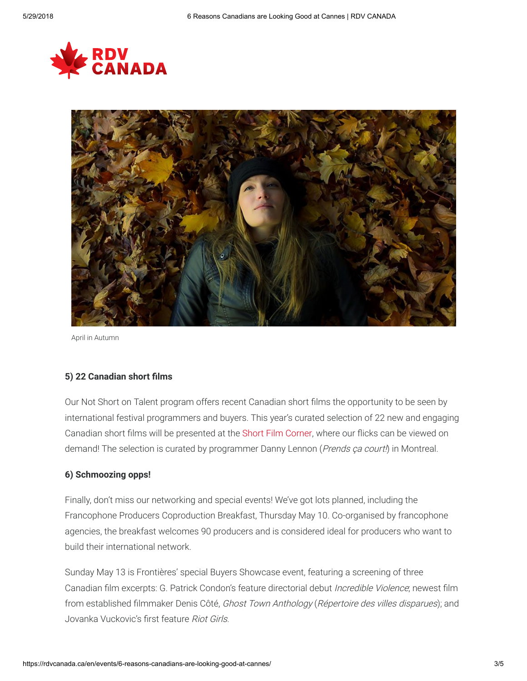



April in Autumn

#### 5) 22 Canadian short films

Our Not Short on Talent program offers recent Canadian short films the opportunity to be seen by international festival programmers and buyers. This year's curated selection of 22 new and engaging Canadian short films will be presented at the [Short Film Corner,](http://www.cannescourtmetrage.com/en/short-film-corner/quisommesnous/presentation) where our flicks can be viewed on demand! The selection is curated by programmer Danny Lennon (Prends ça court!) in Montreal.

#### 6) Schmoozing opps!

Finally, don't miss our networking and special events! We've got lots planned, including the Francophone Producers Coproduction Breakfast, Thursday May 10. Co-organised by francophone agencies, the breakfast welcomes 90 producers and is considered ideal for producers who want to build their international network.

Sunday May 13 is Frontières' special Buyers Showcase event, featuring a screening of three Canadian film excerpts: G. Patrick Condon's feature directorial debut *Incredible Violence*; newest film from established filmmaker Denis Côté, Ghost Town Anthology (Répertoire des villes disparues); and Jovanka Vuckovic's first feature Riot Girls.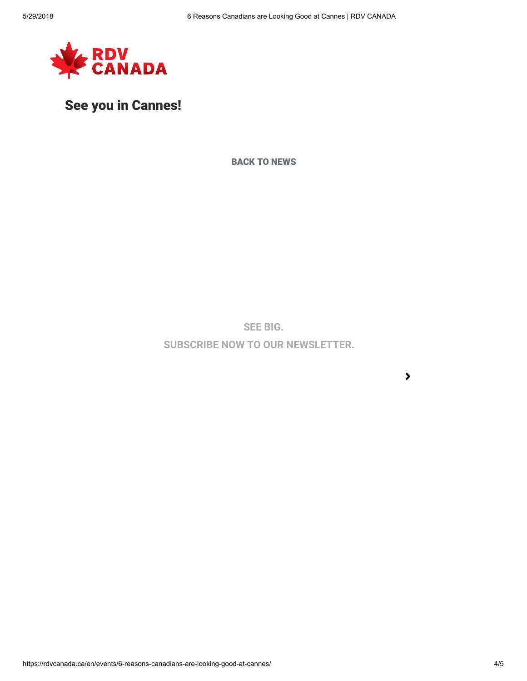

### See you in Cannes!

[BACK TO NEWS](https://rdvcanada.ca/news)

SEE BIG.

SUBSCRIBE NOW TO OUR NEWSLETTER.

 $\blacktriangleright$